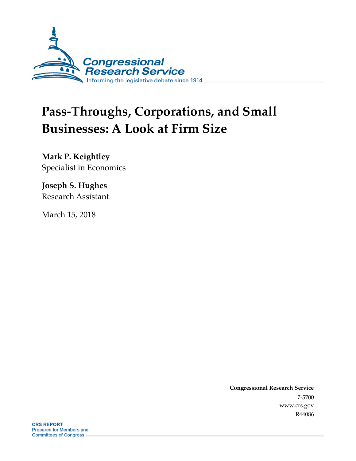

# **Pass-Throughs, Corporations, and Small Businesses: A Look at Firm Size**

**Mark P. Keightley** Specialist in Economics

**Joseph S. Hughes** Research Assistant

March 15, 2018

**Congressional Research Service** 7-5700 www.crs.gov R44086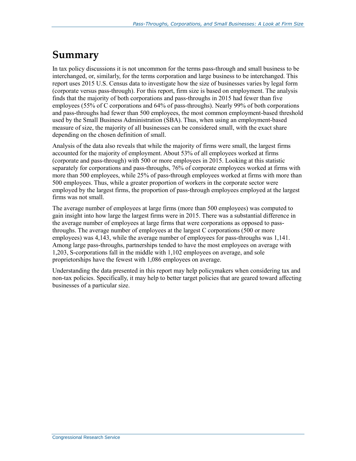### **Summary**

In tax policy discussions it is not uncommon for the terms pass-through and small business to be interchanged, or, similarly, for the terms corporation and large business to be interchanged. This report uses 2015 U.S. Census data to investigate how the size of businesses varies by legal form (corporate versus pass-through). For this report, firm size is based on employment. The analysis finds that the majority of both corporations and pass-throughs in 2015 had fewer than five employees (55% of C corporations and 64% of pass-throughs). Nearly 99% of both corporations and pass-throughs had fewer than 500 employees, the most common employment-based threshold used by the Small Business Administration (SBA). Thus, when using an employment-based measure of size, the majority of all businesses can be considered small, with the exact share depending on the chosen definition of small.

Analysis of the data also reveals that while the majority of firms were small, the largest firms accounted for the majority of employment. About 53% of all employees worked at firms (corporate and pass-through) with 500 or more employees in 2015. Looking at this statistic separately for corporations and pass-throughs, 76% of corporate employees worked at firms with more than 500 employees, while 25% of pass-through employees worked at firms with more than 500 employees. Thus, while a greater proportion of workers in the corporate sector were employed by the largest firms, the proportion of pass-through employees employed at the largest firms was not small.

The average number of employees at large firms (more than 500 employees) was computed to gain insight into how large the largest firms were in 2015. There was a substantial difference in the average number of employees at large firms that were corporations as opposed to passthroughs. The average number of employees at the largest C corporations (500 or more employees) was 4,143, while the average number of employees for pass-throughs was 1,141. Among large pass-throughs, partnerships tended to have the most employees on average with 1,203, S-corporations fall in the middle with 1,102 employees on average, and sole proprietorships have the fewest with 1,086 employees on average.

Understanding the data presented in this report may help policymakers when considering tax and non-tax policies. Specifically, it may help to better target policies that are geared toward affecting businesses of a particular size.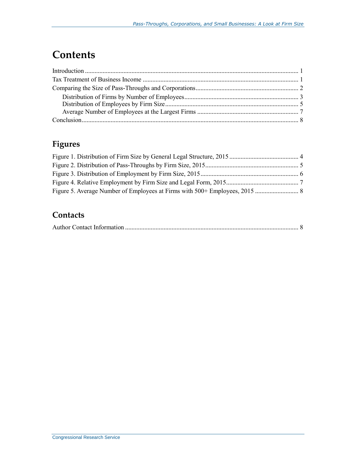## **Contents**

### **Figures**

#### **Contacts**

|--|--|--|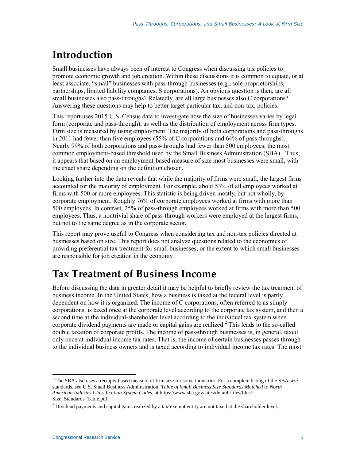# **Introduction**

Small businesses have always been of interest to Congress when discussing tax policies to promote economic growth and job creation. Within these discussions it is common to equate, or at least associate, "small" businesses with pass-through businesses (e.g., sole proprietorships, partnerships, limited liability companies, S corporations). An obvious question is then, are all small businesses also pass-throughs? Relatedly, are all large businesses also C corporations? Answering these questions may help to better target particular tax, and non-tax, policies.

This report uses 2015 U.S. Census data to investigate how the size of businesses varies by legal form (corporate and pass-through), as well as the distribution of employment across firm types. Firm size is measured by using employment. The majority of both corporations and pass-throughs in 2011 had fewer than five employees (55% of C corporations and 64% of pass-throughs). Nearly 99% of both corporations and pass-throughs had fewer than 500 employees, the most common employment-based threshold used by the Small Business Administration  $(SBA)$ .<sup>1</sup> Thus, it appears that based on an employment-based measure of size most businesses were small, with the exact share depending on the definition chosen.

Looking further into the data reveals that while the majority of firms were small, the largest firms accounted for the majority of employment. For example, about 53% of all employees worked at firms with 500 or more employees. This statistic is being driven mostly, but not wholly, by corporate employment. Roughly 76% of corporate employees worked at firms with more than 500 employees. In contrast, 25% of pass-through employees worked at firms with more than 500 employees. Thus, a nontrivial share of pass-through workers were employed at the largest firms, but not to the same degree as in the corporate sector.

This report may prove useful to Congress when considering tax and non-tax policies directed at businesses based on size. This report does not analyze questions related to the economics of providing preferential tax treatment for small businesses, or the extent to which small businesses are responsible for job creation in the economy.

### **Tax Treatment of Business Income**

Before discussing the data in greater detail it may be helpful to briefly review the tax treatment of business income. In the United States, how a business is taxed at the federal level is partly dependent on how it is organized. The income of C corporations, often referred to as simply corporations, is taxed once at the corporate level according to the corporate tax system, and then a second time at the individual-shareholder level according to the individual tax system when corporate dividend payments are made or capital gains are realized.<sup>2</sup> This leads to the so-called double taxation of corporate profits. The income of pass-through businesses is, in general, taxed only once at individual income tax rates. That is, the income of certain businesses passes through to the individual business owners and is taxed according to individual income tax rates. The most

 $\overline{a}$ 

<sup>&</sup>lt;sup>1</sup> The SBA also uses a receipts-based measure of firm size for some industries. For a complete listing of the SBA size standards, see U.S. Small Business Administration, *Table of Small Business Size Standards Matched to North American Industry Classification System Codes*, at https://www.sba.gov/sites/default/files/files/ Size\_Standards\_Table.pdf.

<sup>&</sup>lt;sup>2</sup> Dividend payments and capital gains realized by a tax-exempt entity are not taxed at the shareholder level.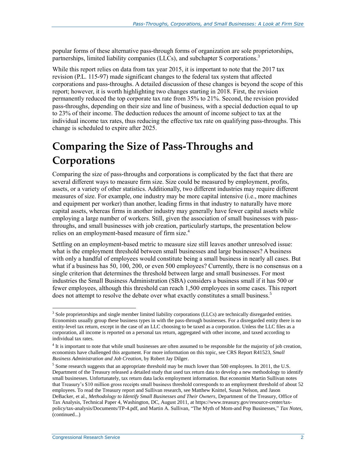popular forms of these alternative pass-through forms of organization are sole proprietorships, partnerships, limited liability companies (LLCs), and subchapter S corporations.<sup>3</sup>

While this report relies on data from tax year 2015, it is important to note that the 2017 tax revision (P.L. 115-97) made significant changes to the federal tax system that affected corporations and pass-throughs. A detailed discussion of these changes is beyond the scope of this report; however, it is worth highlighting two changes starting in 2018. First, the revision permanently reduced the top corporate tax rate from 35% to 21%. Second, the revision provided pass-throughs, depending on their size and line of business, with a special deduction equal to up to 23% of their income. The deduction reduces the amount of income subject to tax at the individual income tax rates, thus reducing the effective tax rate on qualifying pass-throughs. This change is scheduled to expire after 2025.

# **Comparing the Size of Pass-Throughs and Corporations**

Comparing the size of pass-throughs and corporations is complicated by the fact that there are several different ways to measure firm size. Size could be measured by employment, profits, assets, or a variety of other statistics. Additionally, two different industries may require different measures of size. For example, one industry may be more capital intensive (i.e., more machines and equipment per worker) than another, leading firms in that industry to naturally have more capital assets, whereas firms in another industry may generally have fewer capital assets while employing a large number of workers. Still, given the association of small businesses with passthroughs, and small businesses with job creation, particularly startups, the presentation below relies on an employment-based measure of firm size.<sup>4</sup>

Settling on an employment-based metric to measure size still leaves another unresolved issue: what is the employment threshold between small businesses and large businesses? A business with only a handful of employees would constitute being a small business in nearly all cases. But what if a business has 50, 100, 200, or even 500 employees? Currently, there is no consensus on a single criterion that determines the threshold between large and small businesses. For most industries the Small Business Administration (SBA) considers a business small if it has 500 or fewer employees, although this threshold can reach 1,500 employees in some cases. This report does not attempt to resolve the debate over what exactly constitutes a small business.<sup>5</sup>

 $\overline{a}$ 

<sup>&</sup>lt;sup>3</sup> Sole proprietorships and single member limited liability corporations (LLCs) are technically disregarded entities. Economists usually group these business types in with the pass-through businesses. For a disregarded entity there is no entity-level tax return, except in the case of an LLC choosing to be taxed as a corporation. Unless the LLC files as a corporation, all income is reported on a personal tax return, aggregated with other income, and taxed according to individual tax rates.

<sup>&</sup>lt;sup>4</sup> It is important to note that while small businesses are often assumed to be responsible for the majority of job creation, economists have challenged this argument. For more information on this topic, see CRS Report R41523, *Small Business Administration and Job Creation*, by Robert Jay Dilger.

 $<sup>5</sup>$  Some research suggests that an appropriate threshold may be much lower than 500 employees. In 2011, the U.S.</sup> Department of the Treasury released a detailed study that used tax return data to develop a new methodology to identify small businesses. Unfortunately, tax return data lacks employment information. But economist Martin Sullivan notes that Treasury's \$10 million gross receipts small business threshold corresponds to an employment threshold of about 52 employees. To read the Treasury report and Sullivan research, see Matthew Knittel, Susan Nelson, and Jason DeBacker, et al., *Methodology to Identify Small Businesses and Their Owners*, Department of the Treasury, Office of Tax Analysis, Technical Paper 4, Washington, DC, August 2011, at https://www.treasury.gov/resource-center/taxpolicy/tax-analysis/Documents/TP-4.pdf, and Martin A. Sullivan, "The Myth of Mom-and Pop Businesses," *Tax Notes*, (continued...)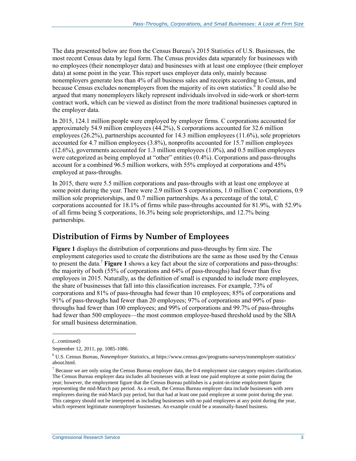The data presented below are from the Census Bureau's 2015 Statistics of U.S. Businesses, the most recent Census data by legal form. The Census provides data separately for businesses with no employees (their nonemployer data) and businesses with at least one employee (their employer data) at some point in the year. This report uses employer data only, mainly because nonemployers generate less than 4% of all business sales and receipts according to Census, and because Census excludes nonemployers from the majority of its own statistics.<sup> $\delta$ </sup> It could also be argued that many nonemployers likely represent individuals involved in side-work or short-term contract work, which can be viewed as distinct from the more traditional businesses captured in the employer data.

In 2015, 124.1 million people were employed by employer firms. C corporations accounted for approximately 54.9 million employees (44.2%), S corporations accounted for 32.6 million employees (26.2%), partnerships accounted for 14.3 million employees (11.6%), sole proprietors accounted for 4.7 million employees (3.8%), nonprofits accounted for 15.7 million employees (12.6%), governments accounted for 1.3 million employees (1.0%), and 0.5 million employees were categorized as being employed at "other" entities (0.4%). Corporations and pass-throughs account for a combined 96.5 million workers, with 55% employed at corporations and 45% employed at pass-throughs.

In 2015, there were 5.5 million corporations and pass-throughs with at least one employee at some point during the year. There were 2.9 million S corporations, 1.0 million C corporations, 0.9 million sole proprietorships, and 0.7 million partnerships. As a percentage of the total, C corporations accounted for 18.1% of firms while pass-throughs accounted for 81.9%, with 52.9% of all firms being S corporations, 16.3% being sole proprietorships, and 12.7% being partnerships.

#### **Distribution of Firms by Number of Employees**

**[Figure 1](#page-6-0)** displays the distribution of corporations and pass-throughs by firm size. The employment categories used to create the distributions are the same as those used by the Census to present the data.<sup>7</sup> **[Figure 1](#page-6-0)** shows a key fact about the size of corporations and pass-throughs: the majority of both (55% of corporations and 64% of pass-throughs) had fewer than five employees in 2015. Naturally, as the definition of small is expanded to include more employees, the share of businesses that fall into this classification increases. For example, 73% of corporations and 81% of pass-throughs had fewer than 10 employees; 85% of corporations and 91% of pass-throughs had fewer than 20 employees; 97% of corporations and 99% of passthroughs had fewer than 100 employees; and 99% of corporations and 99.7% of pass-throughs had fewer than 500 employees—the most common employee-based threshold used by the SBA for small business determination.

l

<sup>(...</sup>continued)

September 12, 2011, pp. 1085-1086.

<sup>6</sup> U.S. Census Bureau, *Nonemployer Statistics*, at https://www.census.gov/programs-surveys/nonemployer-statistics/ about.html.

 $<sup>7</sup>$  Because we are only using the Census Bureau employer data, the 0-4 employment size category requires clarification.</sup> The Census Bureau employer data includes all businesses with at least one paid employee at some point during the year; however, the employment figure that the Census Bureau publishes is a point-in-time employment figure representing the mid-March pay period. As a result, the Census Bureau employer data include businesses with zero employees during the mid-March pay period, but that had at least one paid employee at some point during the year. This category should not be interpreted as including businesses with no paid employees at any point during the year, which represent legitimate nonemployer businesses. An example could be a seasonally-based business.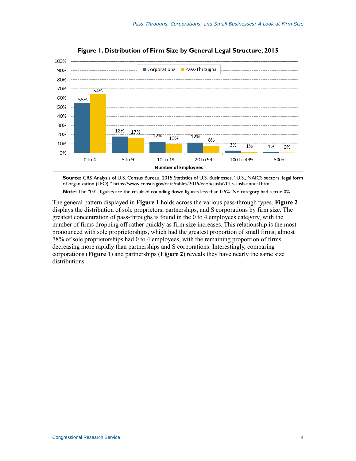<span id="page-6-0"></span>

**Figure 1. Distribution of Firm Size by General Legal Structure, 2015**

**Source:** CRS Analysis of U.S. Census Bureau, 2015 Statistics of U.S. Businesses, "[U.S., NAICS sectors, legal form](http://www2.census.gov/econ/susb/data/2011/us_naicssector_lfo_2011.xls)  [of organization \(LFO\)](http://www2.census.gov/econ/susb/data/2011/us_naicssector_lfo_2011.xls)," https://www.census.gov/data/tables/2015/econ/susb/2015-susb-annual.html. **Note:** The "0%" figures are the result of rounding down figures less than 0.5%. No category had a true 0%.

The general pattern displayed in **[Figure 1](#page-6-0)** holds across the various pass-through types. **[Figure 2](#page-7-0)** displays the distribution of sole proprietors, partnerships, and S corporations by firm size. The greatest concentration of pass-throughs is found in the 0 to 4 employees category, with the number of firms dropping off rather quickly as firm size increases. This relationship is the most pronounced with sole proprietorships, which had the greatest proportion of small firms; almost 78% of sole proprietorships had 0 to 4 employees, with the remaining proportion of firms decreasing more rapidly than partnerships and S corporations. Interestingly, comparing corporations (**[Figure 1](#page-6-0)**) and partnerships (**[Figure 2](#page-7-0)**) reveals they have nearly the same size distributions.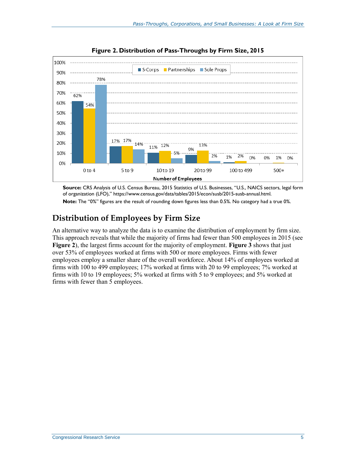<span id="page-7-0"></span>

**Figure 2. Distribution of Pass-Throughs by Firm Size, 2015**

**Source:** CRS Analysis of U.S. Census Bureau, 2015 Statistics of U.S. Businesses, "[U.S., NAICS sectors, legal form](http://www2.census.gov/econ/susb/data/2011/us_naicssector_lfo_2011.xls)  [of organization \(LFO\)](http://www2.census.gov/econ/susb/data/2011/us_naicssector_lfo_2011.xls)," https://www.census.gov/data/tables/2015/econ/susb/2015-susb-annual.html. **Note:** The "0%" figures are the result of rounding down figures less than 0.5%. No category had a true 0%.

### **Distribution of Employees by Firm Size**

An alternative way to analyze the data is to examine the distribution of employment by firm size. This approach reveals that while the majority of firms had fewer than 500 employees in 2015 (see **[Figure 2](#page-7-0)**), the largest firms account for the majority of employment. **[Figure 3](#page-8-0)** shows that just over 53% of employees worked at firms with 500 or more employees. Firms with fewer employees employ a smaller share of the overall workforce. About 14% of employees worked at firms with 100 to 499 employees; 17% worked at firms with 20 to 99 employees; 7% worked at firms with 10 to 19 employees; 5% worked at firms with 5 to 9 employees; and 5% worked at firms with fewer than 5 employees.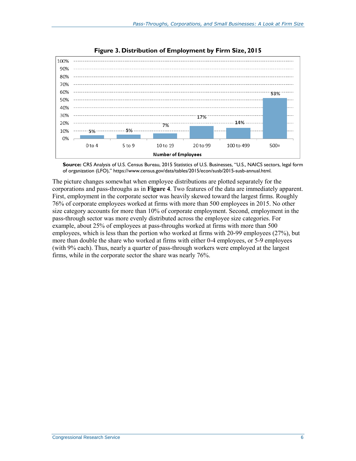<span id="page-8-0"></span>



**Source:** CRS Analysis of U.S. Census Bureau, 2015 Statistics of U.S. Businesses, "[U.S., NAICS sectors, legal form](http://www2.census.gov/econ/susb/data/2011/us_naicssector_lfo_2011.xls)  [of organization \(LFO\)](http://www2.census.gov/econ/susb/data/2011/us_naicssector_lfo_2011.xls)," https://www.census.gov/data/tables/2015/econ/susb/2015-susb-annual.html.

The picture changes somewhat when employee distributions are plotted separately for the corporations and pass-throughs as in **[Figure 4](#page-9-0)**. Two features of the data are immediately apparent. First, employment in the corporate sector was heavily skewed toward the largest firms. Roughly 76% of corporate employees worked at firms with more than 500 employees in 2015. No other size category accounts for more than 10% of corporate employment. Second, employment in the pass-through sector was more evenly distributed across the employee size categories. For example, about 25% of employees at pass-throughs worked at firms with more than 500 employees, which is less than the portion who worked at firms with 20-99 employees (27%), but more than double the share who worked at firms with either 0-4 employees, or 5-9 employees (with 9% each). Thus, nearly a quarter of pass-through workers were employed at the largest firms, while in the corporate sector the share was nearly 76%.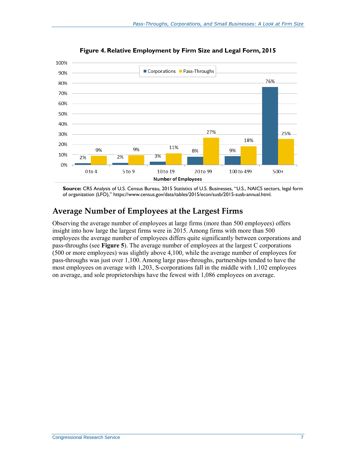<span id="page-9-0"></span>

**Figure 4. Relative Employment by Firm Size and Legal Form, 2015**

**Source:** CRS Analysis of U.S. Census Bureau, 2015 Statistics of U.S. Businesses, "[U.S., NAICS sectors, legal form](http://www2.census.gov/econ/susb/data/2011/us_naicssector_lfo_2011.xls)  [of organization \(LFO\)](http://www2.census.gov/econ/susb/data/2011/us_naicssector_lfo_2011.xls)," https://www.census.gov/data/tables/2015/econ/susb/2015-susb-annual.html.

#### **Average Number of Employees at the Largest Firms**

Observing the average number of employees at large firms (more than 500 employees) offers insight into how large the largest firms were in 2015. Among firms with more than 500 employees the average number of employees differs quite significantly between corporations and pass-throughs (see **[Figure 5](#page-10-1)**). The average number of employees at the largest C corporations (500 or more employees) was slightly above 4,100, while the average number of employees for pass-throughs was just over 1,100. Among large pass-throughs, partnerships tended to have the most employees on average with 1,203, S-corporations fall in the middle with 1,102 employees on average, and sole proprietorships have the fewest with 1,086 employees on average.